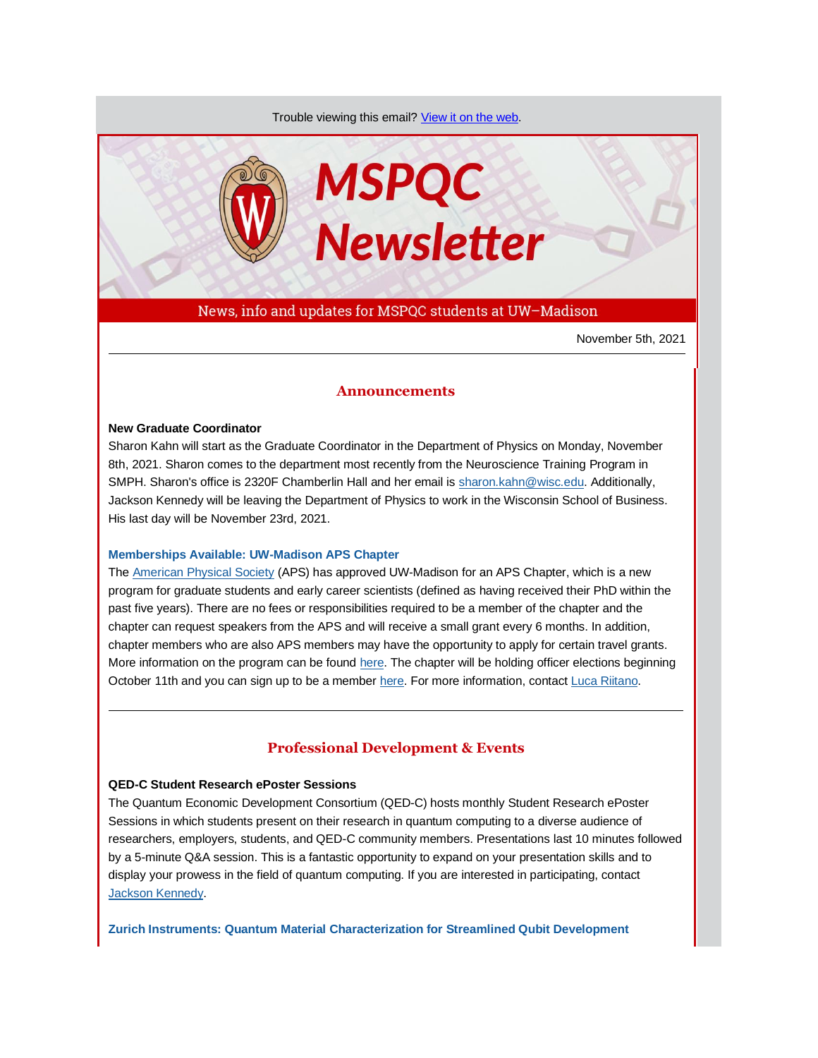Trouble viewing this email? [View it on the web.](https://app.explore.wisc.edu/e/es?s=1427524768&e=714580&elqTrackId=51e861781d16471282f1c296cabd15a9&elq=b3d3409d576b47c98c78b9fe1425e2c1&elqaid=21404&elqat=1)



News, info and updates for MSPQC students at UW–Madison

November 5th, 2021

## **Announcements**

## **New Graduate Coordinator**

Sharon Kahn will start as the Graduate Coordinator in the Department of Physics on Monday, November 8th, 2021. Sharon comes to the department most recently from the Neuroscience Training Program in SMPH. Sharon's office is 2320F Chamberlin Hall and her email is [sharon.kahn@wisc.edu.](mailto:sharon.kahn@wisc.edu) Additionally, Jackson Kennedy will be leaving the Department of Physics to work in the Wisconsin School of Business. His last day will be November 23rd, 2021.

#### **[Memberships Available: UW-Madison APS Chapter](https://app.explore.wisc.edu/e/er?s=1427524768&lid=23273&elqTrackId=AF587C3809828D6525E5F6446A8960E4&elq=b3d3409d576b47c98c78b9fe1425e2c1&elqaid=21404&elqat=1)**

The [American Physical Society](https://app.explore.wisc.edu/e/er?s=1427524768&lid=23274&elqTrackId=4E0B2B6045390B4FA810A5FDA58A7F66&elq=b3d3409d576b47c98c78b9fe1425e2c1&elqaid=21404&elqat=1) (APS) has approved UW-Madison for an APS Chapter, which is a new program for graduate students and early career scientists (defined as having received their PhD within the past five years). There are no fees or responsibilities required to be a member of the chapter and the chapter can request speakers from the APS and will receive a small grant every 6 months. In addition, chapter members who are also APS members may have the opportunity to apply for certain travel grants. More information on the program can be found [here.](https://app.explore.wisc.edu/e/er?s=1427524768&lid=23273&elqTrackId=6FC47D82C9835BF49B6B0D368657AD35&elq=b3d3409d576b47c98c78b9fe1425e2c1&elqaid=21404&elqat=1) The chapter will be holding officer elections beginning October 11th and you can sign up to be a member [here.](https://app.explore.wisc.edu/e/er?s=1427524768&lid=23272&elqTrackId=AB852F85A2B3C8E6ED35A8A88A5F6952&elq=b3d3409d576b47c98c78b9fe1425e2c1&elqaid=21404&elqat=1) For more information, contac[t Luca Riitano.](mailto:riitano@wisc.edu)

## **Professional Development & Events**

#### **QED-C Student Research ePoster Sessions**

The Quantum Economic Development Consortium (QED-C) hosts monthly Student Research ePoster Sessions in which students present on their research in quantum computing to a diverse audience of researchers, employers, students, and QED-C community members. Presentations last 10 minutes followed by a 5-minute Q&A session. This is a fantastic opportunity to expand on your presentation skills and to display your prowess in the field of quantum computing. If you are interested in participating, contact [Jackson Kennedy.](mailto:jckennedy3@wisc.edu)

**[Zurich Instruments: Quantum Material Characterization for Streamlined Qubit Development](https://app.explore.wisc.edu/e/er?s=1427524768&lid=25382&elqTrackId=DBDE2DF202FDCD0E636E07B8397E49CC&elq=b3d3409d576b47c98c78b9fe1425e2c1&elqaid=21404&elqat=1)**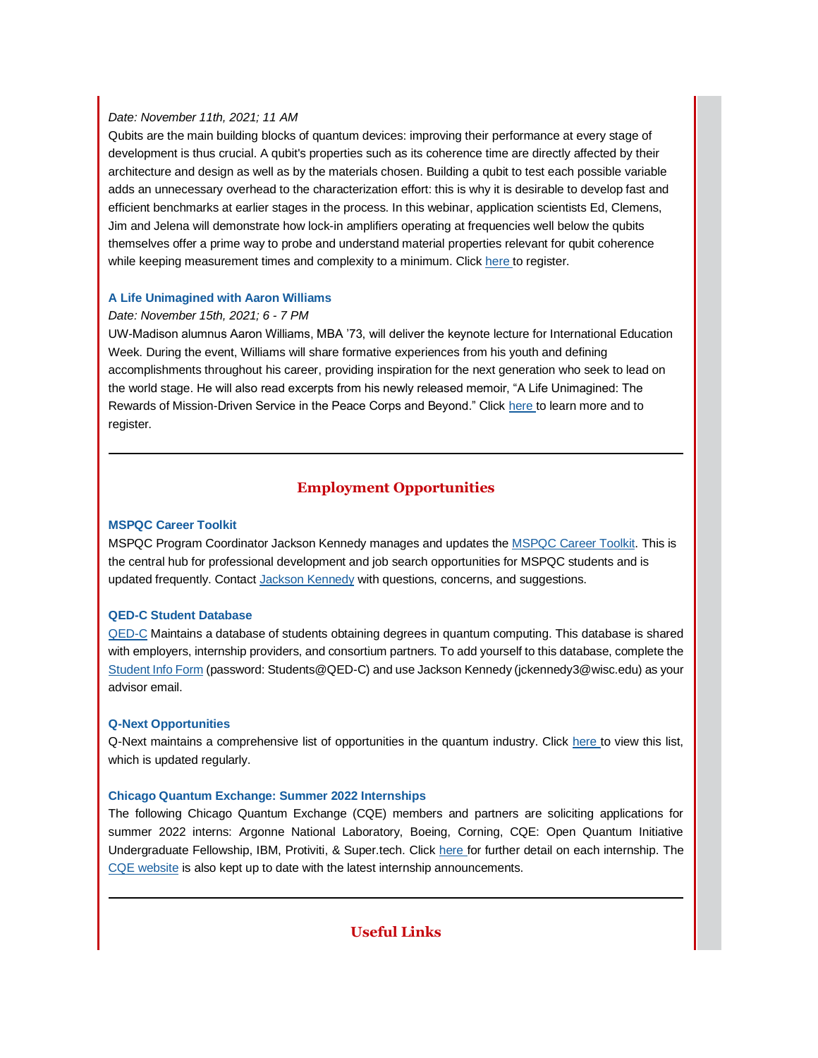## *Date: November 11th, 2021; 11 AM*

Qubits are the main building blocks of quantum devices: improving their performance at every stage of development is thus crucial. A qubit's properties such as its coherence time are directly affected by their architecture and design as well as by the materials chosen. Building a qubit to test each possible variable adds an unnecessary overhead to the characterization effort: this is why it is desirable to develop fast and efficient benchmarks at earlier stages in the process. In this webinar, application scientists Ed, Clemens, Jim and Jelena will demonstrate how lock-in amplifiers operating at frequencies well below the qubits themselves offer a prime way to probe and understand material properties relevant for qubit coherence while keeping measurement times and complexity to a minimum. Click [here t](https://app.explore.wisc.edu/e/er?s=1427524768&lid=25382&elqTrackId=4FD67D3F36DA1909B7A7A2E53DBA2A04&elq=b3d3409d576b47c98c78b9fe1425e2c1&elqaid=21404&elqat=1)o register.

### **[A Life Unimagined with Aaron Williams](https://app.explore.wisc.edu/e/er?s=1427524768&lid=25376&elqTrackId=63D090DFEC77865668E3740CA3FBD35D&elq=b3d3409d576b47c98c78b9fe1425e2c1&elqaid=21404&elqat=1)**

## *Date: November 15th, 2021; 6 - 7 PM*

UW-Madison alumnus Aaron Williams, MBA '73, will deliver the keynote lecture for International Education Week. During the event, Williams will share formative experiences from his youth and defining accomplishments throughout his career, providing inspiration for the next generation who seek to lead on the world stage. He will also read excerpts from his newly released memoir, "A Life Unimagined: The Rewards of Mission-Driven Service in the Peace Corps and Beyond." Clic[k here t](https://app.explore.wisc.edu/e/er?s=1427524768&lid=25376&elqTrackId=63D090DFEC77865668E3740CA3FBD35D&elq=b3d3409d576b47c98c78b9fe1425e2c1&elqaid=21404&elqat=1)o learn more and to register.

# **Employment Opportunities**

#### **[MSPQC Career Toolkit](https://app.explore.wisc.edu/e/er?s=1427524768&lid=16119&elqTrackId=5A49858D7B279578BB1B0FB51CEEA074&elq=b3d3409d576b47c98c78b9fe1425e2c1&elqaid=21404&elqat=1)**

MSPQC Program Coordinator Jackson Kennedy manages and updates the [MSPQC Career Toolkit.](https://app.explore.wisc.edu/e/er?s=1427524768&lid=16119&elqTrackId=09D2E0C03CA2395C49E22DEC7C8591D3&elq=b3d3409d576b47c98c78b9fe1425e2c1&elqaid=21404&elqat=1) This is the central hub for professional development and job search opportunities for MSPQC students and is updated frequently. Contact [Jackson Kennedy](mailto:jckennedy3@wisc.edu) with questions, concerns, and suggestions.

### **[QED-C Student Database](https://app.explore.wisc.edu/e/er?s=1427524768&lid=16143&elqTrackId=3F91B3E99BC944A98E92AF38D30E52E3&elq=b3d3409d576b47c98c78b9fe1425e2c1&elqaid=21404&elqat=1)**

[QED-C](https://app.explore.wisc.edu/e/er?s=1427524768&lid=16144&elqTrackId=A9AB285BA5BE3DC678F7230E21B22D08&elq=b3d3409d576b47c98c78b9fe1425e2c1&elqaid=21404&elqat=1) Maintains a database of students obtaining degrees in quantum computing. This database is shared with employers, internship providers, and consortium partners. To add yourself to this database, complete the [Student Info Form](https://app.explore.wisc.edu/e/er?s=1427524768&lid=16143&elqTrackId=4394A173A56EFED3F138143AA6462B62&elq=b3d3409d576b47c98c78b9fe1425e2c1&elqaid=21404&elqat=1) (password: Students@QED-C) and use Jackson Kennedy (jckennedy3@wisc.edu) as your advisor email.

#### **[Q-Next Opportunities](https://app.explore.wisc.edu/e/er?s=1427524768&lid=25381&elqTrackId=94228FB50F637C0D891FF7830C5D9256&elq=b3d3409d576b47c98c78b9fe1425e2c1&elqaid=21404&elqat=1)**

Q-Next maintains a comprehensive list of opportunities in the quantum industry. Click [here t](https://app.explore.wisc.edu/e/er?s=1427524768&lid=25381&elqTrackId=549E0E6B0E1120E7944F0D18195B54A9&elq=b3d3409d576b47c98c78b9fe1425e2c1&elqaid=21404&elqat=1)o view this list, which is updated regularly.

#### **[Chicago Quantum Exchange: Summer 2022 Internships](https://app.explore.wisc.edu/e/er?s=1427524768&lid=25378&elqTrackId=3C18C5A992720D1D0751E42C03D13491&elq=b3d3409d576b47c98c78b9fe1425e2c1&elqaid=21404&elqat=1)**

The following Chicago Quantum Exchange (CQE) members and partners are soliciting applications for summer 2022 interns: Argonne National Laboratory, Boeing, Corning, CQE: Open Quantum Initiative Undergraduate Fellowship, IBM, Protiviti, & Super.tech. Click [here f](https://app.explore.wisc.edu/e/er?s=1427524768&lid=25378&elqTrackId=3C18C5A992720D1D0751E42C03D13491&elq=b3d3409d576b47c98c78b9fe1425e2c1&elqaid=21404&elqat=1)or further detail on each internship. The [CQE website](https://app.explore.wisc.edu/e/er?s=1427524768&lid=25377&elqTrackId=CF8D9314ACEEBA789304DE255A4EB599&elq=b3d3409d576b47c98c78b9fe1425e2c1&elqaid=21404&elqat=1) is also kept up to date with the latest internship announcements.

# **Useful Links**